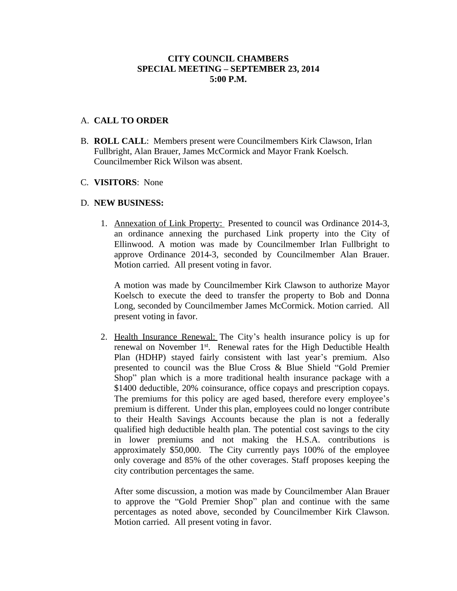## **CITY COUNCIL CHAMBERS SPECIAL MEETING – SEPTEMBER 23, 2014 5:00 P.M.**

### A. **CALL TO ORDER**

B. **ROLL CALL**: Members present were Councilmembers Kirk Clawson, Irlan Fullbright, Alan Brauer, James McCormick and Mayor Frank Koelsch. Councilmember Rick Wilson was absent.

#### C. **VISITORS**: None

### D. **NEW BUSINESS:**

1. Annexation of Link Property: Presented to council was Ordinance 2014-3, an ordinance annexing the purchased Link property into the City of Ellinwood. A motion was made by Councilmember Irlan Fullbright to approve Ordinance 2014-3, seconded by Councilmember Alan Brauer. Motion carried. All present voting in favor.

A motion was made by Councilmember Kirk Clawson to authorize Mayor Koelsch to execute the deed to transfer the property to Bob and Donna Long, seconded by Councilmember James McCormick. Motion carried. All present voting in favor.

2. Health Insurance Renewal: The City's health insurance policy is up for renewal on November 1<sup>st</sup>. Renewal rates for the High Deductible Health Plan (HDHP) stayed fairly consistent with last year's premium. Also presented to council was the Blue Cross & Blue Shield "Gold Premier Shop" plan which is a more traditional health insurance package with a \$1400 deductible, 20% coinsurance, office copays and prescription copays. The premiums for this policy are aged based, therefore every employee's premium is different. Under this plan, employees could no longer contribute to their Health Savings Accounts because the plan is not a federally qualified high deductible health plan. The potential cost savings to the city in lower premiums and not making the H.S.A. contributions is approximately \$50,000. The City currently pays 100% of the employee only coverage and 85% of the other coverages. Staff proposes keeping the city contribution percentages the same.

After some discussion, a motion was made by Councilmember Alan Brauer to approve the "Gold Premier Shop" plan and continue with the same percentages as noted above, seconded by Councilmember Kirk Clawson. Motion carried. All present voting in favor.